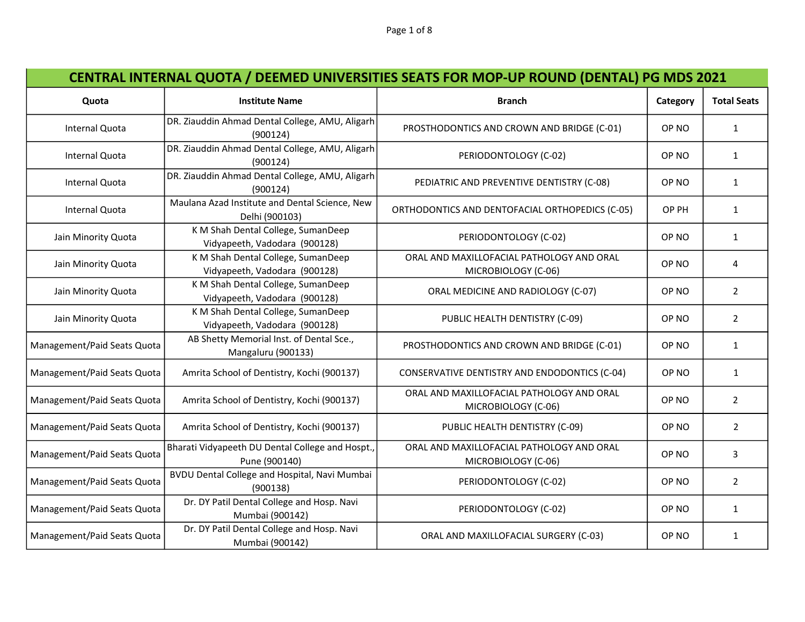| Quota                       | <b>Institute Name</b>                                               | <b>Branch</b>                                                    | Category         | <b>Total Seats</b> |
|-----------------------------|---------------------------------------------------------------------|------------------------------------------------------------------|------------------|--------------------|
| Internal Quota              | DR. Ziauddin Ahmad Dental College, AMU, Aligarh<br>(900124)         | PROSTHODONTICS AND CROWN AND BRIDGE (C-01)                       | OP NO            | $\mathbf{1}$       |
| Internal Quota              | DR. Ziauddin Ahmad Dental College, AMU, Aligarh<br>(900124)         | PERIODONTOLOGY (C-02)                                            | OP NO            | $\mathbf{1}$       |
| Internal Quota              | DR. Ziauddin Ahmad Dental College, AMU, Aligarh<br>(900124)         | PEDIATRIC AND PREVENTIVE DENTISTRY (C-08)                        | OP NO            | $\mathbf{1}$       |
| Internal Quota              | Maulana Azad Institute and Dental Science, New<br>Delhi (900103)    | ORTHODONTICS AND DENTOFACIAL ORTHOPEDICS (C-05)                  | OP PH            | $\mathbf{1}$       |
| Jain Minority Quota         | K M Shah Dental College, SumanDeep<br>Vidyapeeth, Vadodara (900128) | PERIODONTOLOGY (C-02)                                            | OP NO            | $\mathbf{1}$       |
| Jain Minority Quota         | K M Shah Dental College, SumanDeep<br>Vidyapeeth, Vadodara (900128) | ORAL AND MAXILLOFACIAL PATHOLOGY AND ORAL<br>MICROBIOLOGY (C-06) | OP NO            | 4                  |
| Jain Minority Quota         | K M Shah Dental College, SumanDeep<br>Vidyapeeth, Vadodara (900128) | ORAL MEDICINE AND RADIOLOGY (C-07)                               | OP NO            | $\overline{2}$     |
| Jain Minority Quota         | K M Shah Dental College, SumanDeep<br>Vidyapeeth, Vadodara (900128) | PUBLIC HEALTH DENTISTRY (C-09)                                   | OP NO            | $\overline{2}$     |
| Management/Paid Seats Quota | AB Shetty Memorial Inst. of Dental Sce.,<br>Mangaluru (900133)      | PROSTHODONTICS AND CROWN AND BRIDGE (C-01)                       | OP NO            | $\mathbf{1}$       |
| Management/Paid Seats Quota | Amrita School of Dentistry, Kochi (900137)                          | CONSERVATIVE DENTISTRY AND ENDODONTICS (C-04)                    | OP <sub>NO</sub> | $\mathbf{1}$       |
| Management/Paid Seats Quota | Amrita School of Dentistry, Kochi (900137)                          | ORAL AND MAXILLOFACIAL PATHOLOGY AND ORAL<br>MICROBIOLOGY (C-06) | OP NO            | $\overline{2}$     |
| Management/Paid Seats Quota | Amrita School of Dentistry, Kochi (900137)                          | PUBLIC HEALTH DENTISTRY (C-09)                                   | OP NO            | $\overline{2}$     |
| Management/Paid Seats Quota | Bharati Vidyapeeth DU Dental College and Hospt.,<br>Pune (900140)   | ORAL AND MAXILLOFACIAL PATHOLOGY AND ORAL<br>MICROBIOLOGY (C-06) | OP NO            | 3                  |
| Management/Paid Seats Quota | BVDU Dental College and Hospital, Navi Mumbai<br>(900138)           | PERIODONTOLOGY (C-02)                                            | OP NO            | $\overline{2}$     |
| Management/Paid Seats Quota | Dr. DY Patil Dental College and Hosp. Navi<br>Mumbai (900142)       | PERIODONTOLOGY (C-02)                                            | OP NO            | $\mathbf{1}$       |
| Management/Paid Seats Quota | Dr. DY Patil Dental College and Hosp. Navi<br>Mumbai (900142)       | ORAL AND MAXILLOFACIAL SURGERY (C-03)                            | OP NO            | $\mathbf{1}$       |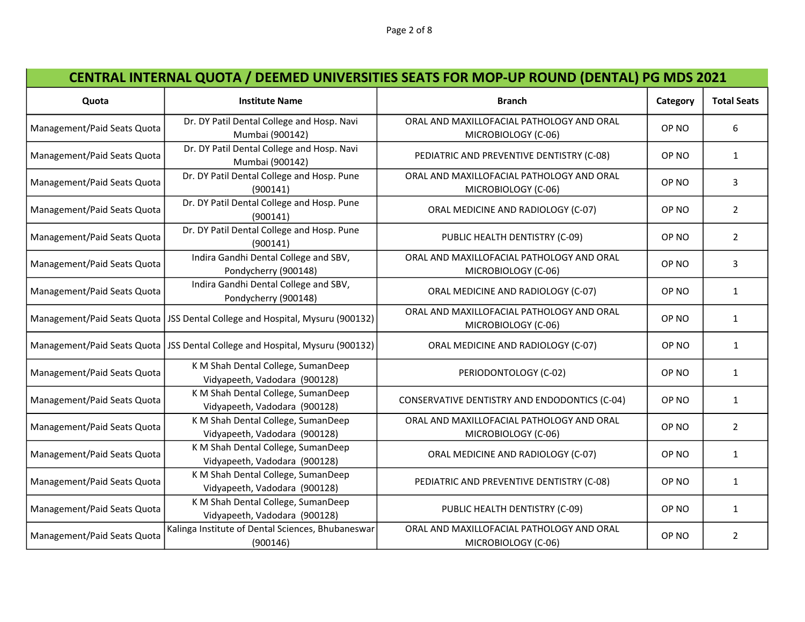## CENTRAL INTERNAL QUOTA / DEEMED UNIVERSITIES SEATS FOR MOP-UP ROUND (DENTAL) PG MDS 2021

| Quota                       | <b>Institute Name</b>                                                          | <b>Branch</b>                                                    | Category | <b>Total Seats</b> |
|-----------------------------|--------------------------------------------------------------------------------|------------------------------------------------------------------|----------|--------------------|
| Management/Paid Seats Quota | Dr. DY Patil Dental College and Hosp. Navi<br>Mumbai (900142)                  | ORAL AND MAXILLOFACIAL PATHOLOGY AND ORAL<br>MICROBIOLOGY (C-06) | OP NO    | 6                  |
| Management/Paid Seats Quota | Dr. DY Patil Dental College and Hosp. Navi<br>Mumbai (900142)                  | PEDIATRIC AND PREVENTIVE DENTISTRY (C-08)                        | OP NO    | $\mathbf{1}$       |
| Management/Paid Seats Quota | Dr. DY Patil Dental College and Hosp. Pune<br>(900141)                         | ORAL AND MAXILLOFACIAL PATHOLOGY AND ORAL<br>MICROBIOLOGY (C-06) | OP NO    | 3                  |
| Management/Paid Seats Quota | Dr. DY Patil Dental College and Hosp. Pune<br>(900141)                         | ORAL MEDICINE AND RADIOLOGY (C-07)                               | OP NO    | $\overline{2}$     |
| Management/Paid Seats Quota | Dr. DY Patil Dental College and Hosp. Pune<br>(900141)                         | PUBLIC HEALTH DENTISTRY (C-09)                                   | OP NO    | $\overline{2}$     |
| Management/Paid Seats Quota | Indira Gandhi Dental College and SBV,<br>Pondycherry (900148)                  | ORAL AND MAXILLOFACIAL PATHOLOGY AND ORAL<br>MICROBIOLOGY (C-06) | OP NO    | 3                  |
| Management/Paid Seats Quota | Indira Gandhi Dental College and SBV,<br>Pondycherry (900148)                  | ORAL MEDICINE AND RADIOLOGY (C-07)                               | OP NO    | $\mathbf{1}$       |
|                             | Management/Paid Seats Quota   JSS Dental College and Hospital, Mysuru (900132) | ORAL AND MAXILLOFACIAL PATHOLOGY AND ORAL<br>MICROBIOLOGY (C-06) | OP NO    | $\mathbf{1}$       |
|                             | Management/Paid Seats Quota   JSS Dental College and Hospital, Mysuru (900132) | ORAL MEDICINE AND RADIOLOGY (C-07)                               | OP NO    | $\mathbf{1}$       |
| Management/Paid Seats Quota | K M Shah Dental College, SumanDeep<br>Vidyapeeth, Vadodara (900128)            | PERIODONTOLOGY (C-02)                                            | OP NO    | $\mathbf{1}$       |
| Management/Paid Seats Quota | K M Shah Dental College, SumanDeep<br>Vidyapeeth, Vadodara (900128)            | CONSERVATIVE DENTISTRY AND ENDODONTICS (C-04)                    | OP NO    | $\mathbf{1}$       |
| Management/Paid Seats Quota | K M Shah Dental College, SumanDeep<br>Vidyapeeth, Vadodara (900128)            | ORAL AND MAXILLOFACIAL PATHOLOGY AND ORAL<br>MICROBIOLOGY (C-06) | OP NO    | $\overline{2}$     |
| Management/Paid Seats Quota | K M Shah Dental College, SumanDeep<br>Vidyapeeth, Vadodara (900128)            | ORAL MEDICINE AND RADIOLOGY (C-07)                               | OP NO    | $\mathbf{1}$       |
| Management/Paid Seats Quota | K M Shah Dental College, SumanDeep<br>Vidyapeeth, Vadodara (900128)            | PEDIATRIC AND PREVENTIVE DENTISTRY (C-08)                        | OP NO    | $\mathbf{1}$       |
| Management/Paid Seats Quota | K M Shah Dental College, SumanDeep<br>Vidyapeeth, Vadodara (900128)            | PUBLIC HEALTH DENTISTRY (C-09)                                   | OP NO    | $\mathbf{1}$       |
| Management/Paid Seats Quota | Kalinga Institute of Dental Sciences, Bhubaneswar<br>(900146)                  | ORAL AND MAXILLOFACIAL PATHOLOGY AND ORAL<br>MICROBIOLOGY (C-06) | OP NO    | $\overline{2}$     |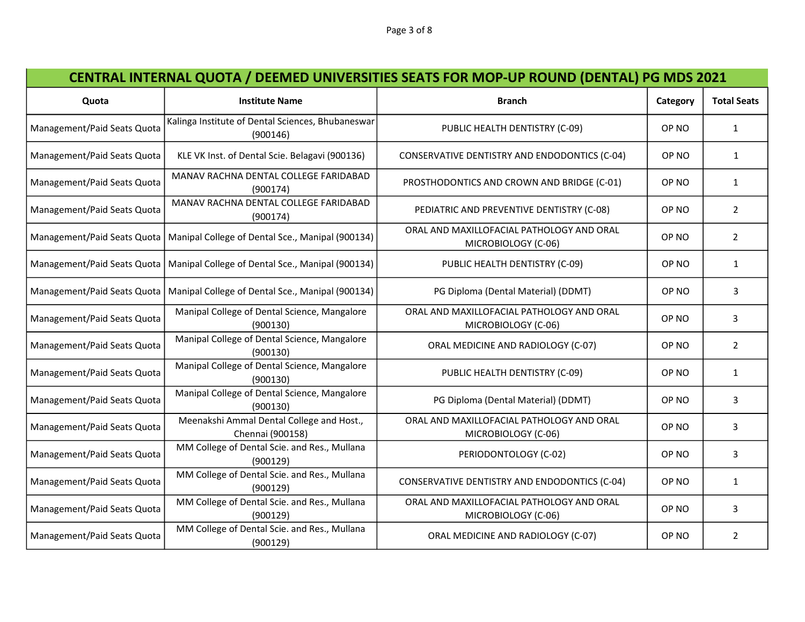## CENTRAL INTERNAL QUOTA / DEEMED UNIVERSITIES SEATS FOR MOP-UP ROUND (DENTAL) PG MDS 2021

| Quota                       | <b>Institute Name</b>                                                          | <b>Branch</b>                                                    | Category | <b>Total Seats</b> |
|-----------------------------|--------------------------------------------------------------------------------|------------------------------------------------------------------|----------|--------------------|
| Management/Paid Seats Quota | Kalinga Institute of Dental Sciences, Bhubaneswar<br>(900146)                  | PUBLIC HEALTH DENTISTRY (C-09)                                   | OP NO    | $\mathbf{1}$       |
| Management/Paid Seats Quota | KLE VK Inst. of Dental Scie. Belagavi (900136)                                 | CONSERVATIVE DENTISTRY AND ENDODONTICS (C-04)                    | OP NO    | $\mathbf{1}$       |
| Management/Paid Seats Quota | MANAV RACHNA DENTAL COLLEGE FARIDABAD<br>(900174)                              | PROSTHODONTICS AND CROWN AND BRIDGE (C-01)                       | OP NO    | $\mathbf{1}$       |
| Management/Paid Seats Quota | MANAV RACHNA DENTAL COLLEGE FARIDABAD<br>(900174)                              | PEDIATRIC AND PREVENTIVE DENTISTRY (C-08)                        | OP NO    | $\overline{2}$     |
|                             | Management/Paid Seats Quota   Manipal College of Dental Sce., Manipal (900134) | ORAL AND MAXILLOFACIAL PATHOLOGY AND ORAL<br>MICROBIOLOGY (C-06) | OP NO    | $\overline{2}$     |
|                             | Management/Paid Seats Quota   Manipal College of Dental Sce., Manipal (900134) | PUBLIC HEALTH DENTISTRY (C-09)                                   | OP NO    | $\mathbf{1}$       |
| Management/Paid Seats Quota | Manipal College of Dental Sce., Manipal (900134)                               | PG Diploma (Dental Material) (DDMT)                              | OP NO    | 3                  |
| Management/Paid Seats Quota | Manipal College of Dental Science, Mangalore<br>(900130)                       | ORAL AND MAXILLOFACIAL PATHOLOGY AND ORAL<br>MICROBIOLOGY (C-06) | OP NO    | 3                  |
| Management/Paid Seats Quota | Manipal College of Dental Science, Mangalore<br>(900130)                       | ORAL MEDICINE AND RADIOLOGY (C-07)                               | OP NO    | $\overline{2}$     |
| Management/Paid Seats Quota | Manipal College of Dental Science, Mangalore<br>(900130)                       | PUBLIC HEALTH DENTISTRY (C-09)                                   | OP NO    | $\mathbf{1}$       |
| Management/Paid Seats Quota | Manipal College of Dental Science, Mangalore<br>(900130)                       | PG Diploma (Dental Material) (DDMT)                              | OP NO    | 3                  |
| Management/Paid Seats Quota | Meenakshi Ammal Dental College and Host.,<br>Chennai (900158)                  | ORAL AND MAXILLOFACIAL PATHOLOGY AND ORAL<br>MICROBIOLOGY (C-06) | OP NO    | 3                  |
| Management/Paid Seats Quota | MM College of Dental Scie. and Res., Mullana<br>(900129)                       | PERIODONTOLOGY (C-02)                                            | OP NO    | 3                  |
| Management/Paid Seats Quota | MM College of Dental Scie. and Res., Mullana<br>(900129)                       | CONSERVATIVE DENTISTRY AND ENDODONTICS (C-04)                    | OP NO    | $\mathbf{1}$       |
| Management/Paid Seats Quota | MM College of Dental Scie. and Res., Mullana<br>(900129)                       | ORAL AND MAXILLOFACIAL PATHOLOGY AND ORAL<br>MICROBIOLOGY (C-06) | OP NO    | 3                  |
| Management/Paid Seats Quota | MM College of Dental Scie. and Res., Mullana<br>(900129)                       | ORAL MEDICINE AND RADIOLOGY (C-07)                               | OP NO    | $\overline{2}$     |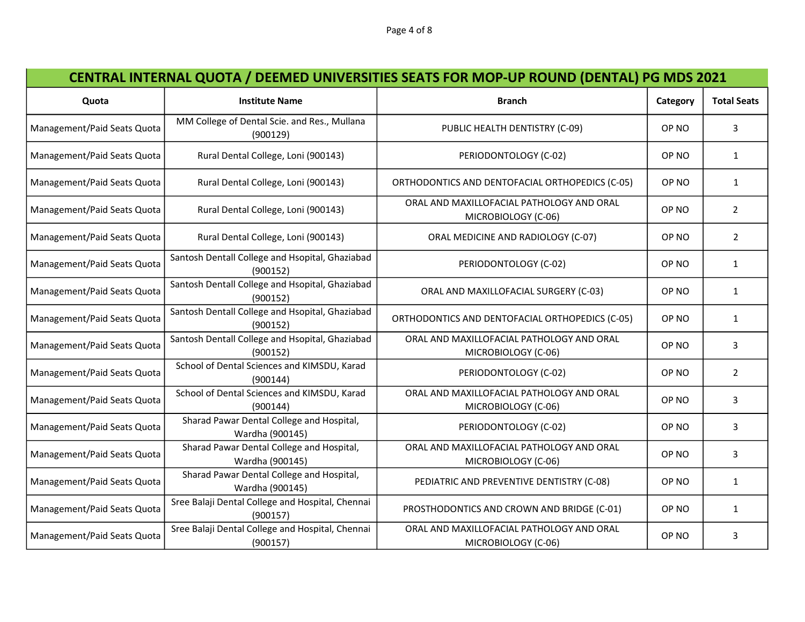| Quota                       | <b>Institute Name</b>                                        | <b>Branch</b>                                                    | Category | <b>Total Seats</b> |
|-----------------------------|--------------------------------------------------------------|------------------------------------------------------------------|----------|--------------------|
| Management/Paid Seats Quota | MM College of Dental Scie. and Res., Mullana<br>(900129)     | PUBLIC HEALTH DENTISTRY (C-09)                                   | OP NO    | 3                  |
| Management/Paid Seats Quota | Rural Dental College, Loni (900143)                          | PERIODONTOLOGY (C-02)                                            | OP NO    | $\mathbf{1}$       |
| Management/Paid Seats Quota | Rural Dental College, Loni (900143)                          | ORTHODONTICS AND DENTOFACIAL ORTHOPEDICS (C-05)                  | OP NO    | $\mathbf{1}$       |
| Management/Paid Seats Quota | Rural Dental College, Loni (900143)                          | ORAL AND MAXILLOFACIAL PATHOLOGY AND ORAL<br>MICROBIOLOGY (C-06) | OP NO    | $\overline{2}$     |
| Management/Paid Seats Quota | Rural Dental College, Loni (900143)                          | ORAL MEDICINE AND RADIOLOGY (C-07)                               | OP NO    | $\overline{2}$     |
| Management/Paid Seats Quota | Santosh Dentall College and Hsopital, Ghaziabad<br>(900152)  | PERIODONTOLOGY (C-02)                                            | OP NO    | $\mathbf{1}$       |
| Management/Paid Seats Quota | Santosh Dentall College and Hsopital, Ghaziabad<br>(900152)  | ORAL AND MAXILLOFACIAL SURGERY (C-03)                            | OP NO    | $\mathbf{1}$       |
| Management/Paid Seats Quota | Santosh Dentall College and Hsopital, Ghaziabad<br>(900152)  | ORTHODONTICS AND DENTOFACIAL ORTHOPEDICS (C-05)                  | OP NO    | $\mathbf{1}$       |
| Management/Paid Seats Quota | Santosh Dentall College and Hsopital, Ghaziabad<br>(900152)  | ORAL AND MAXILLOFACIAL PATHOLOGY AND ORAL<br>MICROBIOLOGY (C-06) | OP NO    | 3                  |
| Management/Paid Seats Quota | School of Dental Sciences and KIMSDU, Karad<br>(900144)      | PERIODONTOLOGY (C-02)                                            | OP NO    | $\overline{2}$     |
| Management/Paid Seats Quota | School of Dental Sciences and KIMSDU, Karad<br>(900144)      | ORAL AND MAXILLOFACIAL PATHOLOGY AND ORAL<br>MICROBIOLOGY (C-06) | OP NO    | 3                  |
| Management/Paid Seats Quota | Sharad Pawar Dental College and Hospital,<br>Wardha (900145) | PERIODONTOLOGY (C-02)                                            | OP NO    | 3                  |
| Management/Paid Seats Quota | Sharad Pawar Dental College and Hospital,<br>Wardha (900145) | ORAL AND MAXILLOFACIAL PATHOLOGY AND ORAL<br>MICROBIOLOGY (C-06) | OP NO    | $\overline{3}$     |
| Management/Paid Seats Quota | Sharad Pawar Dental College and Hospital,<br>Wardha (900145) | PEDIATRIC AND PREVENTIVE DENTISTRY (C-08)                        | OP NO    | $\mathbf{1}$       |
| Management/Paid Seats Quota | Sree Balaji Dental College and Hospital, Chennai<br>(900157) | PROSTHODONTICS AND CROWN AND BRIDGE (C-01)                       | OP NO    | $\mathbf{1}$       |
| Management/Paid Seats Quota | Sree Balaji Dental College and Hospital, Chennai<br>(900157) | ORAL AND MAXILLOFACIAL PATHOLOGY AND ORAL<br>MICROBIOLOGY (C-06) | OP NO    | 3                  |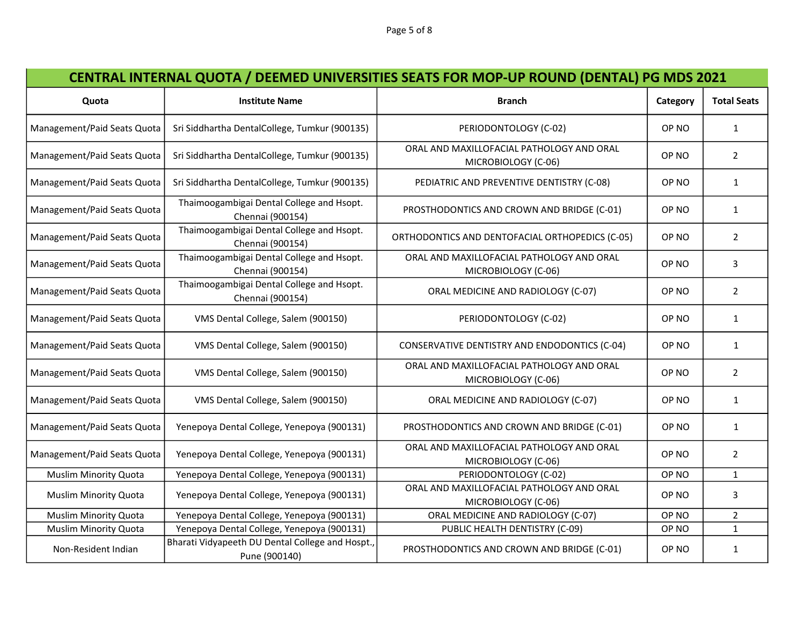## CENTRAL INTERNAL QUOTA / DEEMED UNIVERSITIES SEATS FOR MOP-UP ROUND (DENTAL) PG MDS 2021

| Quota                        | <b>Institute Name</b>                                             | <b>Branch</b>                                                    | Category         | <b>Total Seats</b> |
|------------------------------|-------------------------------------------------------------------|------------------------------------------------------------------|------------------|--------------------|
| Management/Paid Seats Quota  | Sri Siddhartha DentalCollege, Tumkur (900135)                     | PERIODONTOLOGY (C-02)                                            | OP NO            | $\mathbf{1}$       |
| Management/Paid Seats Quota  | Sri Siddhartha DentalCollege, Tumkur (900135)                     | ORAL AND MAXILLOFACIAL PATHOLOGY AND ORAL<br>MICROBIOLOGY (C-06) | OP NO            | $\overline{2}$     |
| Management/Paid Seats Quota  | Sri Siddhartha DentalCollege, Tumkur (900135)                     | PEDIATRIC AND PREVENTIVE DENTISTRY (C-08)                        | OP NO            | $\mathbf{1}$       |
| Management/Paid Seats Quota  | Thaimoogambigai Dental College and Hsopt.<br>Chennai (900154)     | PROSTHODONTICS AND CROWN AND BRIDGE (C-01)                       | OP NO            | $\mathbf{1}$       |
| Management/Paid Seats Quota  | Thaimoogambigai Dental College and Hsopt.<br>Chennai (900154)     | ORTHODONTICS AND DENTOFACIAL ORTHOPEDICS (C-05)                  | OP NO            | $\overline{2}$     |
| Management/Paid Seats Quota  | Thaimoogambigai Dental College and Hsopt.<br>Chennai (900154)     | ORAL AND MAXILLOFACIAL PATHOLOGY AND ORAL<br>MICROBIOLOGY (C-06) | OP NO            | 3                  |
| Management/Paid Seats Quota  | Thaimoogambigai Dental College and Hsopt.<br>Chennai (900154)     | ORAL MEDICINE AND RADIOLOGY (C-07)                               | OP NO            | $\overline{2}$     |
| Management/Paid Seats Quota  | VMS Dental College, Salem (900150)                                | PERIODONTOLOGY (C-02)                                            | OP NO            | $\mathbf{1}$       |
| Management/Paid Seats Quota  | VMS Dental College, Salem (900150)                                | CONSERVATIVE DENTISTRY AND ENDODONTICS (C-04)                    | OP NO            | $\mathbf{1}$       |
| Management/Paid Seats Quota  | VMS Dental College, Salem (900150)                                | ORAL AND MAXILLOFACIAL PATHOLOGY AND ORAL<br>MICROBIOLOGY (C-06) | OP NO            | $\overline{2}$     |
| Management/Paid Seats Quota  | VMS Dental College, Salem (900150)                                | ORAL MEDICINE AND RADIOLOGY (C-07)                               | OP NO            | $\mathbf{1}$       |
| Management/Paid Seats Quota  | Yenepoya Dental College, Yenepoya (900131)                        | PROSTHODONTICS AND CROWN AND BRIDGE (C-01)                       | OP NO            | $\mathbf{1}$       |
| Management/Paid Seats Quota  | Yenepoya Dental College, Yenepoya (900131)                        | ORAL AND MAXILLOFACIAL PATHOLOGY AND ORAL<br>MICROBIOLOGY (C-06) | OP NO            | $\overline{2}$     |
| <b>Muslim Minority Quota</b> | Yenepoya Dental College, Yenepoya (900131)                        | PERIODONTOLOGY (C-02)                                            | OP <sub>NO</sub> | $\mathbf{1}$       |
| <b>Muslim Minority Quota</b> | Yenepoya Dental College, Yenepoya (900131)                        | ORAL AND MAXILLOFACIAL PATHOLOGY AND ORAL<br>MICROBIOLOGY (C-06) | OP NO            | 3                  |
| <b>Muslim Minority Quota</b> | Yenepoya Dental College, Yenepoya (900131)                        | ORAL MEDICINE AND RADIOLOGY (C-07)                               | OP NO            | $\overline{2}$     |
| <b>Muslim Minority Quota</b> | Yenepoya Dental College, Yenepoya (900131)                        | PUBLIC HEALTH DENTISTRY (C-09)                                   | OP NO            | $\mathbf{1}$       |
| Non-Resident Indian          | Bharati Vidyapeeth DU Dental College and Hospt.,<br>Pune (900140) | PROSTHODONTICS AND CROWN AND BRIDGE (C-01)                       | OP NO            | $\mathbf{1}$       |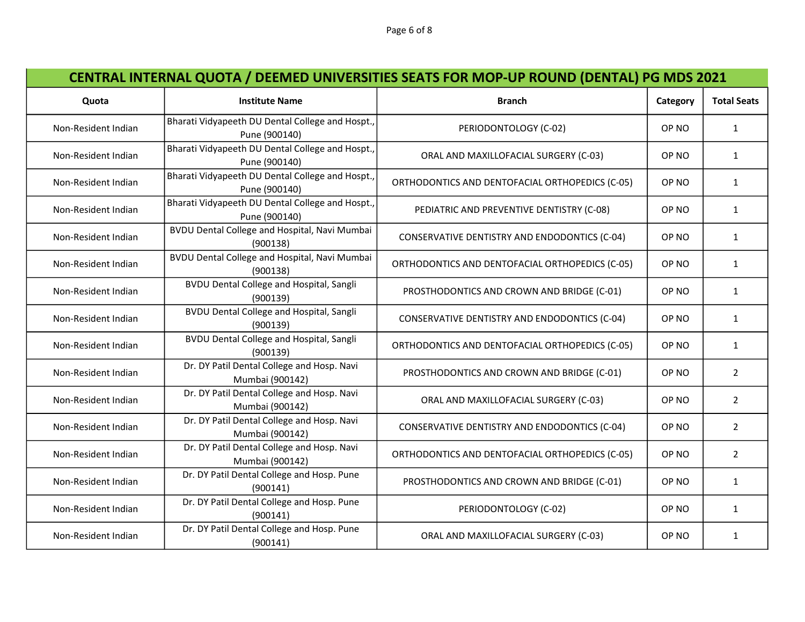| Quota               | <b>Institute Name</b>                                             | <b>Branch</b>                                   | Category | <b>Total Seats</b> |
|---------------------|-------------------------------------------------------------------|-------------------------------------------------|----------|--------------------|
| Non-Resident Indian | Bharati Vidyapeeth DU Dental College and Hospt.,<br>Pune (900140) | PERIODONTOLOGY (C-02)                           | OP NO    | $\mathbf{1}$       |
| Non-Resident Indian | Bharati Vidyapeeth DU Dental College and Hospt.,<br>Pune (900140) | ORAL AND MAXILLOFACIAL SURGERY (C-03)           | OP NO    | $\mathbf{1}$       |
| Non-Resident Indian | Bharati Vidyapeeth DU Dental College and Hospt.,<br>Pune (900140) | ORTHODONTICS AND DENTOFACIAL ORTHOPEDICS (C-05) | OP NO    | $\mathbf{1}$       |
| Non-Resident Indian | Bharati Vidyapeeth DU Dental College and Hospt.,<br>Pune (900140) | PEDIATRIC AND PREVENTIVE DENTISTRY (C-08)       | OP NO    | $\mathbf{1}$       |
| Non-Resident Indian | BVDU Dental College and Hospital, Navi Mumbai<br>(900138)         | CONSERVATIVE DENTISTRY AND ENDODONTICS (C-04)   | OP NO    | $\mathbf{1}$       |
| Non-Resident Indian | BVDU Dental College and Hospital, Navi Mumbai<br>(900138)         | ORTHODONTICS AND DENTOFACIAL ORTHOPEDICS (C-05) | OP NO    | $\mathbf{1}$       |
| Non-Resident Indian | <b>BVDU Dental College and Hospital, Sangli</b><br>(900139)       | PROSTHODONTICS AND CROWN AND BRIDGE (C-01)      | OP NO    | $\mathbf{1}$       |
| Non-Resident Indian | BVDU Dental College and Hospital, Sangli<br>(900139)              | CONSERVATIVE DENTISTRY AND ENDODONTICS (C-04)   | OP NO    | $\mathbf{1}$       |
| Non-Resident Indian | <b>BVDU Dental College and Hospital, Sangli</b><br>(900139)       | ORTHODONTICS AND DENTOFACIAL ORTHOPEDICS (C-05) | OP NO    | $\mathbf{1}$       |
| Non-Resident Indian | Dr. DY Patil Dental College and Hosp. Navi<br>Mumbai (900142)     | PROSTHODONTICS AND CROWN AND BRIDGE (C-01)      | OP NO    | $\overline{2}$     |
| Non-Resident Indian | Dr. DY Patil Dental College and Hosp. Navi<br>Mumbai (900142)     | ORAL AND MAXILLOFACIAL SURGERY (C-03)           | OP NO    | $\overline{2}$     |
| Non-Resident Indian | Dr. DY Patil Dental College and Hosp. Navi<br>Mumbai (900142)     | CONSERVATIVE DENTISTRY AND ENDODONTICS (C-04)   | OP NO    | $\overline{2}$     |
| Non-Resident Indian | Dr. DY Patil Dental College and Hosp. Navi<br>Mumbai (900142)     | ORTHODONTICS AND DENTOFACIAL ORTHOPEDICS (C-05) | OP NO    | $\overline{2}$     |
| Non-Resident Indian | Dr. DY Patil Dental College and Hosp. Pune<br>(900141)            | PROSTHODONTICS AND CROWN AND BRIDGE (C-01)      | OP NO    | $\mathbf{1}$       |
| Non-Resident Indian | Dr. DY Patil Dental College and Hosp. Pune<br>(900141)            | PERIODONTOLOGY (C-02)                           | OP NO    | $\mathbf{1}$       |
| Non-Resident Indian | Dr. DY Patil Dental College and Hosp. Pune<br>(900141)            | ORAL AND MAXILLOFACIAL SURGERY (C-03)           | OP NO    | $\mathbf{1}$       |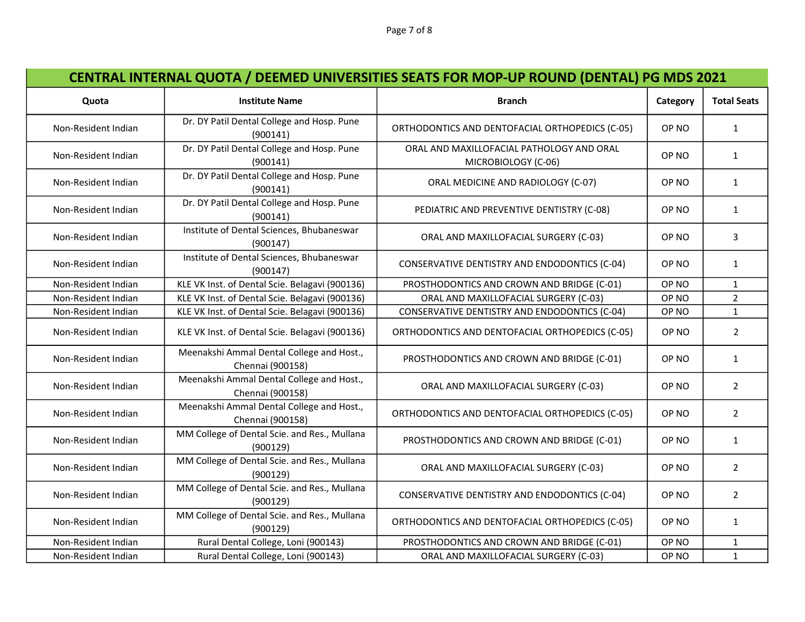| Quota               | <b>Institute Name</b>                                         | <b>Branch</b>                                                    | Category         | <b>Total Seats</b> |
|---------------------|---------------------------------------------------------------|------------------------------------------------------------------|------------------|--------------------|
| Non-Resident Indian | Dr. DY Patil Dental College and Hosp. Pune<br>(900141)        | ORTHODONTICS AND DENTOFACIAL ORTHOPEDICS (C-05)                  | OP NO            | $\mathbf{1}$       |
| Non-Resident Indian | Dr. DY Patil Dental College and Hosp. Pune<br>(900141)        | ORAL AND MAXILLOFACIAL PATHOLOGY AND ORAL<br>MICROBIOLOGY (C-06) | OP NO            | $\mathbf{1}$       |
| Non-Resident Indian | Dr. DY Patil Dental College and Hosp. Pune<br>(900141)        | ORAL MEDICINE AND RADIOLOGY (C-07)                               | OP NO            | $\mathbf{1}$       |
| Non-Resident Indian | Dr. DY Patil Dental College and Hosp. Pune<br>(900141)        | PEDIATRIC AND PREVENTIVE DENTISTRY (C-08)                        | OP NO            | $\mathbf{1}$       |
| Non-Resident Indian | Institute of Dental Sciences, Bhubaneswar<br>(900147)         | ORAL AND MAXILLOFACIAL SURGERY (C-03)                            | OP NO            | 3                  |
| Non-Resident Indian | Institute of Dental Sciences, Bhubaneswar<br>(900147)         | CONSERVATIVE DENTISTRY AND ENDODONTICS (C-04)                    | OP NO            | $\mathbf{1}$       |
| Non-Resident Indian | KLE VK Inst. of Dental Scie. Belagavi (900136)                | PROSTHODONTICS AND CROWN AND BRIDGE (C-01)                       | OP <sub>NO</sub> | $\mathbf 1$        |
| Non-Resident Indian | KLE VK Inst. of Dental Scie. Belagavi (900136)                | ORAL AND MAXILLOFACIAL SURGERY (C-03)                            | OP <sub>NO</sub> | $\overline{2}$     |
| Non-Resident Indian | KLE VK Inst. of Dental Scie. Belagavi (900136)                | CONSERVATIVE DENTISTRY AND ENDODONTICS (C-04)                    | OP NO            | $\mathbf{1}$       |
| Non-Resident Indian | KLE VK Inst. of Dental Scie. Belagavi (900136)                | ORTHODONTICS AND DENTOFACIAL ORTHOPEDICS (C-05)                  | OP NO            | $\overline{2}$     |
| Non-Resident Indian | Meenakshi Ammal Dental College and Host.,<br>Chennai (900158) | PROSTHODONTICS AND CROWN AND BRIDGE (C-01)                       | OP NO            | $\mathbf{1}$       |
| Non-Resident Indian | Meenakshi Ammal Dental College and Host.,<br>Chennai (900158) | ORAL AND MAXILLOFACIAL SURGERY (C-03)                            | OP NO            | $\overline{2}$     |
| Non-Resident Indian | Meenakshi Ammal Dental College and Host.,<br>Chennai (900158) | ORTHODONTICS AND DENTOFACIAL ORTHOPEDICS (C-05)                  | OP NO            | $\overline{2}$     |
| Non-Resident Indian | MM College of Dental Scie. and Res., Mullana<br>(900129)      | PROSTHODONTICS AND CROWN AND BRIDGE (C-01)                       | OP NO            | $\mathbf{1}$       |
| Non-Resident Indian | MM College of Dental Scie. and Res., Mullana<br>(900129)      | ORAL AND MAXILLOFACIAL SURGERY (C-03)                            | OP NO            | $\overline{2}$     |
| Non-Resident Indian | MM College of Dental Scie. and Res., Mullana<br>(900129)      | CONSERVATIVE DENTISTRY AND ENDODONTICS (C-04)                    | OP NO            | $\overline{2}$     |
| Non-Resident Indian | MM College of Dental Scie. and Res., Mullana<br>(900129)      | ORTHODONTICS AND DENTOFACIAL ORTHOPEDICS (C-05)                  | OP NO            | $\mathbf{1}$       |
| Non-Resident Indian | Rural Dental College, Loni (900143)                           | PROSTHODONTICS AND CROWN AND BRIDGE (C-01)                       | OP NO            | $\mathbf{1}$       |
| Non-Resident Indian | Rural Dental College, Loni (900143)                           | ORAL AND MAXILLOFACIAL SURGERY (C-03)                            | OP NO            | $\mathbf{1}$       |